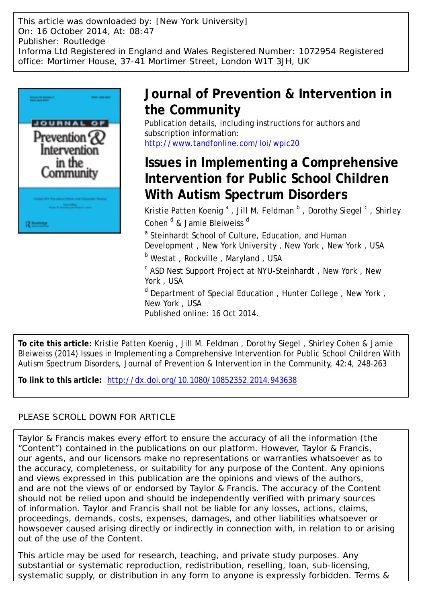This article was downloaded by: [New York University] On: 16 October 2014, At: 08:47 Publisher: Routledge Informa Ltd Registered in England and Wales Registered Number: 1072954 Registered office: Mortimer House, 37-41 Mortimer Street, London W1T 3JH, UK



## **Journal of Prevention & Intervention in the Community**

Publication details, including instructions for authors and subscription information: <http://www.tandfonline.com/loi/wpic20>

# **Issues in Implementing a Comprehensive Intervention for Public School Children With Autism Spectrum Disorders**

Kristie Patten Koenig <sup>a</sup>, Jill M. Feldman <sup>b</sup>, Dorothy Siegel <sup>c</sup>, Shirley Cohen <sup>d</sup> & Jamie Bleiweiss <sup>d</sup>

<sup>a</sup> Steinhardt School of Culture, Education, and Human Development , New York University , New York , New York , USA <sup>b</sup> Westat, Rockville, Maryland, USA

<sup>c</sup> ASD Nest Support Project at NYU-Steinhardt, New York, New York , USA

<sup>d</sup> Department of Special Education, Hunter College, New York, New York , USA Published online: 16 Oct 2014.

**To cite this article:** Kristie Patten Koenig , Jill M. Feldman , Dorothy Siegel , Shirley Cohen & Jamie Bleiweiss (2014) Issues in Implementing a Comprehensive Intervention for Public School Children With Autism Spectrum Disorders, Journal of Prevention & Intervention in the Community, 42:4, 248-263

**To link to this article:** <http://dx.doi.org/10.1080/10852352.2014.943638>

### PLEASE SCROLL DOWN FOR ARTICLE

Taylor & Francis makes every effort to ensure the accuracy of all the information (the "Content") contained in the publications on our platform. However, Taylor & Francis, our agents, and our licensors make no representations or warranties whatsoever as to the accuracy, completeness, or suitability for any purpose of the Content. Any opinions and views expressed in this publication are the opinions and views of the authors, and are not the views of or endorsed by Taylor & Francis. The accuracy of the Content should not be relied upon and should be independently verified with primary sources of information. Taylor and Francis shall not be liable for any losses, actions, claims, proceedings, demands, costs, expenses, damages, and other liabilities whatsoever or howsoever caused arising directly or indirectly in connection with, in relation to or arising out of the use of the Content.

This article may be used for research, teaching, and private study purposes. Any substantial or systematic reproduction, redistribution, reselling, loan, sub-licensing, systematic supply, or distribution in any form to anyone is expressly forbidden. Terms &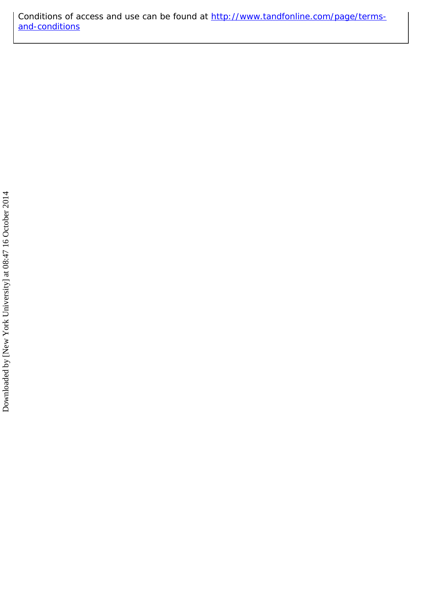Conditions of access and use can be found at [http://www.tandfonline.com/page/terms](http://www.tandfonline.com/page/terms-and-conditions)[and-conditions](http://www.tandfonline.com/page/terms-and-conditions)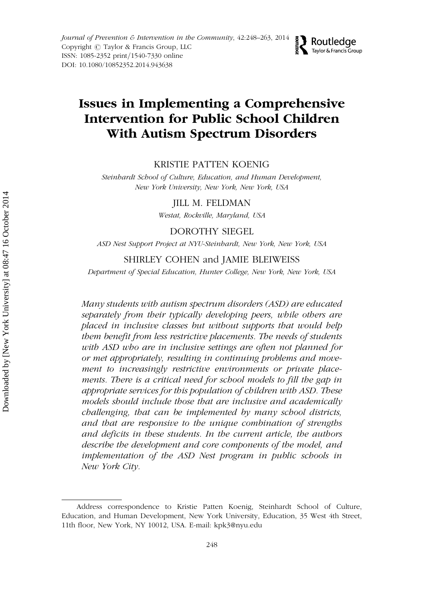### Issues in Implementing a Comprehensive Intervention for Public School Children With Autism Spectrum Disorders

**D** Routledge

Taylor & Francis Group

駁

#### KRISTIE PATTEN KOENIG

Steinhardt School of Culture, Education, and Human Development, New York University, New York, New York, USA

JILL M. FELDMAN

Westat, Rockville, Maryland, USA

#### DOROTHY SIEGEL

ASD Nest Support Project at NYU-Steinhardt, New York, New York, USA

#### SHIRLEY COHEN and JAMIE BLEIWEISS

Department of Special Education, Hunter College, New York, New York, USA

Many students with autism spectrum disorders (ASD) are educated separately from their typically developing peers, while others are placed in inclusive classes but without supports that would help them benefit from less restrictive placements. The needs of students with ASD who are in inclusive settings are often not planned for or met appropriately, resulting in continuing problems and movement to increasingly restrictive environments or private placements. There is a critical need for school models to fill the gap in appropriate services for this population of children with ASD. These models should include those that are inclusive and academically challenging, that can be implemented by many school districts, and that are responsive to the unique combination of strengths and deficits in these students. In the current article, the authors describe the development and core components of the model, and implementation of the ASD Nest program in public schools in New York City.

Address correspondence to Kristie Patten Koenig, Steinhardt School of Culture, Education, and Human Development, New York University, Education, 35 West 4th Street, 11th floor, New York, NY 10012, USA. E-mail: kpk3@nyu.edu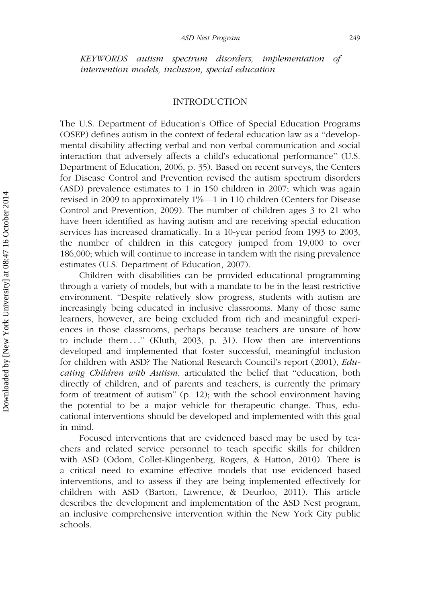KEYWORDS autism spectrum disorders, implementation of intervention models, inclusion, special education

#### INTRODUCTION

The U.S. Department of Education's Office of Special Education Programs (OSEP) defines autism in the context of federal education law as a ''developmental disability affecting verbal and non verbal communication and social interaction that adversely affects a child's educational performance'' (U.S. Department of Education, 2006, p. 35). Based on recent surveys, the Centers for Disease Control and Prevention revised the autism spectrum disorders (ASD) prevalence estimates to 1 in 150 children in 2007; which was again revised in 2009 to approximately 1%—1 in 110 children (Centers for Disease Control and Prevention, 2009). The number of children ages 3 to 21 who have been identified as having autism and are receiving special education services has increased dramatically. In a 10-year period from 1993 to 2003, the number of children in this category jumped from 19,000 to over 186,000; which will continue to increase in tandem with the rising prevalence estimates (U.S. Department of Education, 2007).

Children with disabilities can be provided educational programming through a variety of models, but with a mandate to be in the least restrictive environment. ''Despite relatively slow progress, students with autism are increasingly being educated in inclusive classrooms. Many of those same learners, however, are being excluded from rich and meaningful experiences in those classrooms, perhaps because teachers are unsure of how to include them ...'' (Kluth, 2003, p. 31). How then are interventions developed and implemented that foster successful, meaningful inclusion for children with ASD? The National Research Council's report (2001), Educating Children with Autism, articulated the belief that "education, both directly of children, and of parents and teachers, is currently the primary form of treatment of autism'' (p. 12); with the school environment having the potential to be a major vehicle for therapeutic change. Thus, educational interventions should be developed and implemented with this goal in mind.

Focused interventions that are evidenced based may be used by teachers and related service personnel to teach specific skills for children with ASD (Odom, Collet-Klingenberg, Rogers, & Hatton, 2010). There is a critical need to examine effective models that use evidenced based interventions, and to assess if they are being implemented effectively for children with ASD (Barton, Lawrence, & Deurloo, 2011). This article describes the development and implementation of the ASD Nest program, an inclusive comprehensive intervention within the New York City public schools.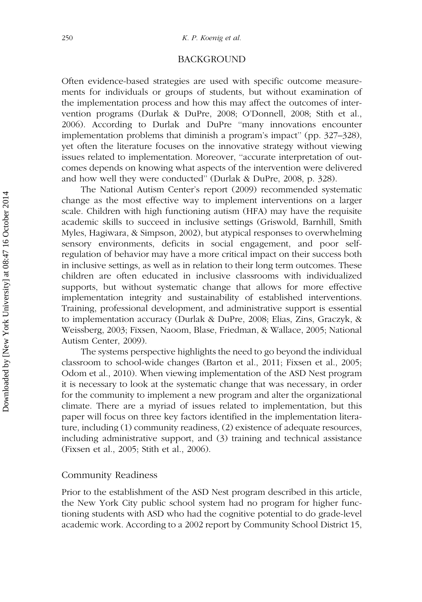#### BACKGROUND

Often evidence-based strategies are used with specific outcome measurements for individuals or groups of students, but without examination of the implementation process and how this may affect the outcomes of intervention programs (Durlak & DuPre, 2008; O'Donnell, 2008; Stith et al., 2006). According to Durlak and DuPre ''many innovations encounter implementation problems that diminish a program's impact'' (pp. 327–328), yet often the literature focuses on the innovative strategy without viewing issues related to implementation. Moreover, ''accurate interpretation of outcomes depends on knowing what aspects of the intervention were delivered and how well they were conducted'' (Durlak & DuPre, 2008, p. 328).

The National Autism Center's report (2009) recommended systematic change as the most effective way to implement interventions on a larger scale. Children with high functioning autism (HFA) may have the requisite academic skills to succeed in inclusive settings (Griswold, Barnhill, Smith Myles, Hagiwara, & Simpson, 2002), but atypical responses to overwhelming sensory environments, deficits in social engagement, and poor selfregulation of behavior may have a more critical impact on their success both in inclusive settings, as well as in relation to their long term outcomes. These children are often educated in inclusive classrooms with individualized supports, but without systematic change that allows for more effective implementation integrity and sustainability of established interventions. Training, professional development, and administrative support is essential to implementation accuracy (Durlak & DuPre, 2008; Elias, Zins, Graczyk, & Weissberg, 2003; Fixsen, Naoom, Blase, Friedman, & Wallace, 2005; National Autism Center, 2009).

The systems perspective highlights the need to go beyond the individual classroom to school-wide changes (Barton et al., 2011; Fixsen et al., 2005; Odom et al., 2010). When viewing implementation of the ASD Nest program it is necessary to look at the systematic change that was necessary, in order for the community to implement a new program and alter the organizational climate. There are a myriad of issues related to implementation, but this paper will focus on three key factors identified in the implementation literature, including (1) community readiness, (2) existence of adequate resources, including administrative support, and (3) training and technical assistance (Fixsen et al., 2005; Stith et al., 2006).

#### Community Readiness

Prior to the establishment of the ASD Nest program described in this article, the New York City public school system had no program for higher functioning students with ASD who had the cognitive potential to do grade-level academic work. According to a 2002 report by Community School District 15,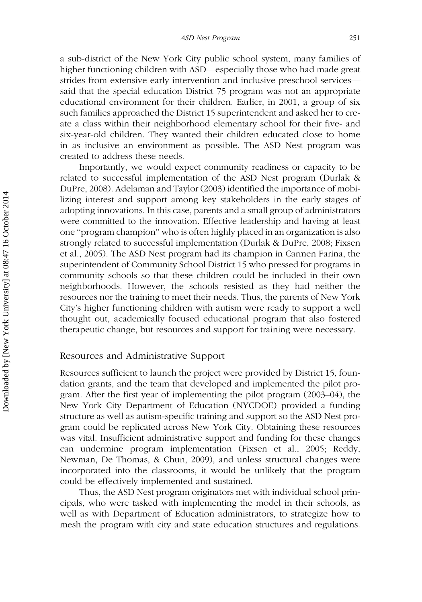a sub-district of the New York City public school system, many families of higher functioning children with ASD—especially those who had made great strides from extensive early intervention and inclusive preschool services said that the special education District 75 program was not an appropriate educational environment for their children. Earlier, in 2001, a group of six such families approached the District 15 superintendent and asked her to create a class within their neighborhood elementary school for their five- and six-year-old children. They wanted their children educated close to home in as inclusive an environment as possible. The ASD Nest program was created to address these needs.

Importantly, we would expect community readiness or capacity to be related to successful implementation of the ASD Nest program (Durlak & DuPre, 2008). Adelaman and Taylor (2003) identified the importance of mobilizing interest and support among key stakeholders in the early stages of adopting innovations. In this case, parents and a small group of administrators were committed to the innovation. Effective leadership and having at least one ''program champion'' who is often highly placed in an organization is also strongly related to successful implementation (Durlak & DuPre, 2008; Fixsen et al., 2005). The ASD Nest program had its champion in Carmen Farina, the superintendent of Community School District 15 who pressed for programs in community schools so that these children could be included in their own neighborhoods. However, the schools resisted as they had neither the resources nor the training to meet their needs. Thus, the parents of New York City's higher functioning children with autism were ready to support a well thought out, academically focused educational program that also fostered therapeutic change, but resources and support for training were necessary.

#### Resources and Administrative Support

Resources sufficient to launch the project were provided by District 15, foundation grants, and the team that developed and implemented the pilot program. After the first year of implementing the pilot program (2003–04), the New York City Department of Education (NYCDOE) provided a funding structure as well as autism-specific training and support so the ASD Nest program could be replicated across New York City. Obtaining these resources was vital. Insufficient administrative support and funding for these changes can undermine program implementation (Fixsen et al., 2005; Reddy, Newman, De Thomas, & Chun, 2009), and unless structural changes were incorporated into the classrooms, it would be unlikely that the program could be effectively implemented and sustained.

Thus, the ASD Nest program originators met with individual school principals, who were tasked with implementing the model in their schools, as well as with Department of Education administrators, to strategize how to mesh the program with city and state education structures and regulations.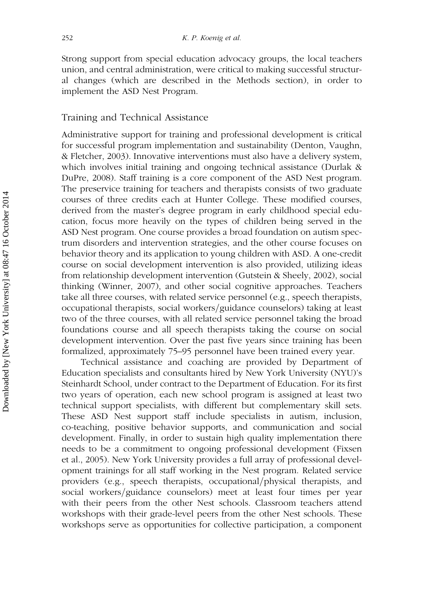Strong support from special education advocacy groups, the local teachers union, and central administration, were critical to making successful structural changes (which are described in the Methods section), in order to implement the ASD Nest Program.

#### Training and Technical Assistance

Administrative support for training and professional development is critical for successful program implementation and sustainability (Denton, Vaughn, & Fletcher, 2003). Innovative interventions must also have a delivery system, which involves initial training and ongoing technical assistance (Durlak & DuPre, 2008). Staff training is a core component of the ASD Nest program. The preservice training for teachers and therapists consists of two graduate courses of three credits each at Hunter College. These modified courses, derived from the master's degree program in early childhood special education, focus more heavily on the types of children being served in the ASD Nest program. One course provides a broad foundation on autism spectrum disorders and intervention strategies, and the other course focuses on behavior theory and its application to young children with ASD. A one-credit course on social development intervention is also provided, utilizing ideas from relationship development intervention (Gutstein & Sheely, 2002), social thinking (Winner, 2007), and other social cognitive approaches. Teachers take all three courses, with related service personnel (e.g., speech therapists, occupational therapists, social workers/guidance counselors) taking at least two of the three courses, with all related service personnel taking the broad foundations course and all speech therapists taking the course on social development intervention. Over the past five years since training has been formalized, approximately 75–95 personnel have been trained every year.

Technical assistance and coaching are provided by Department of Education specialists and consultants hired by New York University (NYU)'s Steinhardt School, under contract to the Department of Education. For its first two years of operation, each new school program is assigned at least two technical support specialists, with different but complementary skill sets. These ASD Nest support staff include specialists in autism, inclusion, co-teaching, positive behavior supports, and communication and social development. Finally, in order to sustain high quality implementation there needs to be a commitment to ongoing professional development (Fixsen et al., 2005). New York University provides a full array of professional development trainings for all staff working in the Nest program. Related service providers (e.g., speech therapists, occupational/physical therapists, and social workers/guidance counselors) meet at least four times per year with their peers from the other Nest schools. Classroom teachers attend workshops with their grade-level peers from the other Nest schools. These workshops serve as opportunities for collective participation, a component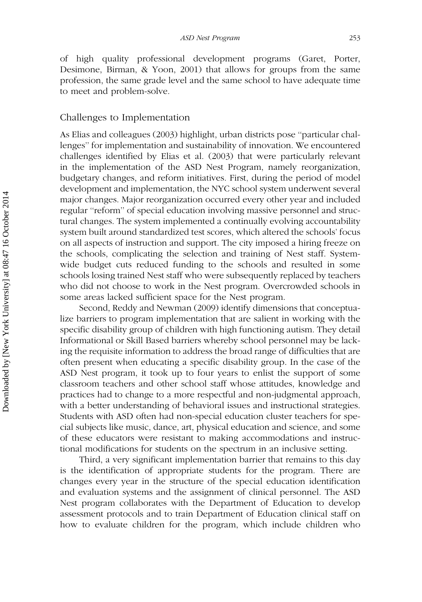of high quality professional development programs (Garet, Porter, Desimone, Birman, & Yoon, 2001) that allows for groups from the same profession, the same grade level and the same school to have adequate time to meet and problem-solve.

#### Challenges to Implementation

As Elias and colleagues (2003) highlight, urban districts pose ''particular challenges'' for implementation and sustainability of innovation. We encountered challenges identified by Elias et al. (2003) that were particularly relevant in the implementation of the ASD Nest Program, namely reorganization, budgetary changes, and reform initiatives. First, during the period of model development and implementation, the NYC school system underwent several major changes. Major reorganization occurred every other year and included regular ''reform'' of special education involving massive personnel and structural changes. The system implemented a continually evolving accountability system built around standardized test scores, which altered the schools' focus on all aspects of instruction and support. The city imposed a hiring freeze on the schools, complicating the selection and training of Nest staff. Systemwide budget cuts reduced funding to the schools and resulted in some schools losing trained Nest staff who were subsequently replaced by teachers who did not choose to work in the Nest program. Overcrowded schools in some areas lacked sufficient space for the Nest program.

Second, Reddy and Newman (2009) identify dimensions that conceptualize barriers to program implementation that are salient in working with the specific disability group of children with high functioning autism. They detail Informational or Skill Based barriers whereby school personnel may be lacking the requisite information to address the broad range of difficulties that are often present when educating a specific disability group. In the case of the ASD Nest program, it took up to four years to enlist the support of some classroom teachers and other school staff whose attitudes, knowledge and practices had to change to a more respectful and non-judgmental approach, with a better understanding of behavioral issues and instructional strategies. Students with ASD often had non-special education cluster teachers for special subjects like music, dance, art, physical education and science, and some of these educators were resistant to making accommodations and instructional modifications for students on the spectrum in an inclusive setting.

Third, a very significant implementation barrier that remains to this day is the identification of appropriate students for the program. There are changes every year in the structure of the special education identification and evaluation systems and the assignment of clinical personnel. The ASD Nest program collaborates with the Department of Education to develop assessment protocols and to train Department of Education clinical staff on how to evaluate children for the program, which include children who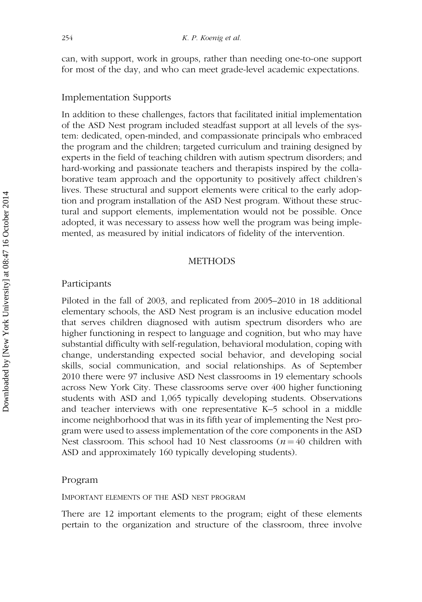can, with support, work in groups, rather than needing one-to-one support for most of the day, and who can meet grade-level academic expectations.

#### Implementation Supports

In addition to these challenges, factors that facilitated initial implementation of the ASD Nest program included steadfast support at all levels of the system: dedicated, open-minded, and compassionate principals who embraced the program and the children; targeted curriculum and training designed by experts in the field of teaching children with autism spectrum disorders; and hard-working and passionate teachers and therapists inspired by the collaborative team approach and the opportunity to positively affect children's lives. These structural and support elements were critical to the early adoption and program installation of the ASD Nest program. Without these structural and support elements, implementation would not be possible. Once adopted, it was necessary to assess how well the program was being implemented, as measured by initial indicators of fidelity of the intervention.

#### METHODS

#### Participants

Piloted in the fall of 2003, and replicated from 2005–2010 in 18 additional elementary schools, the ASD Nest program is an inclusive education model that serves children diagnosed with autism spectrum disorders who are higher functioning in respect to language and cognition, but who may have substantial difficulty with self-regulation, behavioral modulation, coping with change, understanding expected social behavior, and developing social skills, social communication, and social relationships. As of September 2010 there were 97 inclusive ASD Nest classrooms in 19 elementary schools across New York City. These classrooms serve over 400 higher functioning students with ASD and 1,065 typically developing students. Observations and teacher interviews with one representative K–5 school in a middle income neighborhood that was in its fifth year of implementing the Nest program were used to assess implementation of the core components in the ASD Nest classroom. This school had 10 Nest classrooms ( $n = 40$  children with ASD and approximately 160 typically developing students).

#### Program

#### IMPORTANT ELEMENTS OF THE ASD NEST PROGRAM

There are 12 important elements to the program; eight of these elements pertain to the organization and structure of the classroom, three involve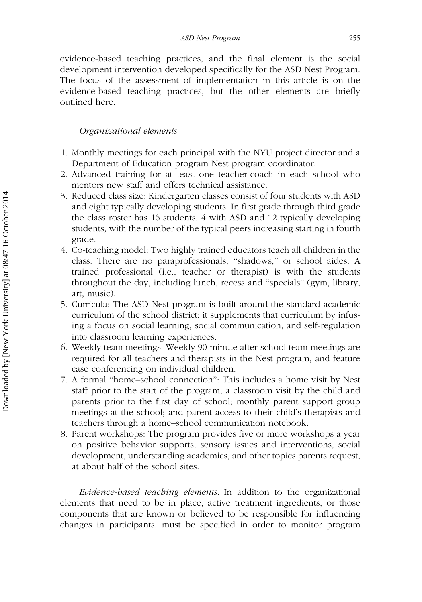evidence-based teaching practices, and the final element is the social development intervention developed specifically for the ASD Nest Program. The focus of the assessment of implementation in this article is on the evidence-based teaching practices, but the other elements are briefly outlined here.

#### Organizational elements

- 1. Monthly meetings for each principal with the NYU project director and a Department of Education program Nest program coordinator.
- 2. Advanced training for at least one teacher-coach in each school who mentors new staff and offers technical assistance.
- 3. Reduced class size: Kindergarten classes consist of four students with ASD and eight typically developing students. In first grade through third grade the class roster has 16 students, 4 with ASD and 12 typically developing students, with the number of the typical peers increasing starting in fourth grade.
- 4. Co-teaching model: Two highly trained educators teach all children in the class. There are no paraprofessionals, ''shadows,'' or school aides. A trained professional (i.e., teacher or therapist) is with the students throughout the day, including lunch, recess and ''specials'' (gym, library, art, music).
- 5. Curricula: The ASD Nest program is built around the standard academic curriculum of the school district; it supplements that curriculum by infusing a focus on social learning, social communication, and self-regulation into classroom learning experiences.
- 6. Weekly team meetings: Weekly 90-minute after-school team meetings are required for all teachers and therapists in the Nest program, and feature case conferencing on individual children.
- 7. A formal ''home–school connection'': This includes a home visit by Nest staff prior to the start of the program; a classroom visit by the child and parents prior to the first day of school; monthly parent support group meetings at the school; and parent access to their child's therapists and teachers through a home–school communication notebook.
- 8. Parent workshops: The program provides five or more workshops a year on positive behavior supports, sensory issues and interventions, social development, understanding academics, and other topics parents request, at about half of the school sites.

Evidence-based teaching elements. In addition to the organizational elements that need to be in place, active treatment ingredients, or those components that are known or believed to be responsible for influencing changes in participants, must be specified in order to monitor program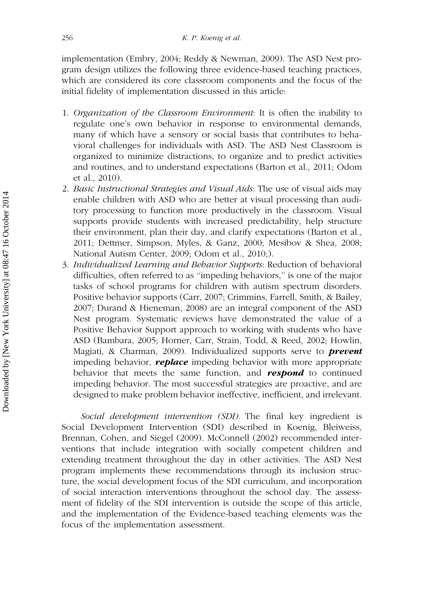implementation (Embry, 2004; Reddy & Newman, 2009). The ASD Nest program design utilizes the following three evidence-based teaching practices, which are considered its core classroom components and the focus of the initial fidelity of implementation discussed in this article:

- 1. Organization of the Classroom Environment: It is often the inability to regulate one's own behavior in response to environmental demands, many of which have a sensory or social basis that contributes to behavioral challenges for individuals with ASD. The ASD Nest Classroom is organized to minimize distractions, to organize and to predict activities and routines, and to understand expectations (Barton et al., 2011; Odom et al., 2010).
- 2. Basic Instructional Strategies and Visual Aids: The use of visual aids may enable children with ASD who are better at visual processing than auditory processing to function more productively in the classroom. Visual supports provide students with increased predictability, help structure their environment, plan their day, and clarify expectations (Barton et al., 2011; Dettmer, Simpson, Myles, & Ganz, 2000; Mesibov & Shea, 2008; National Autism Center, 2009; Odom et al., 2010;).
- 3. Individualized Learning and Behavior Supports: Reduction of behavioral difficulties, often referred to as ''impeding behaviors,'' is one of the major tasks of school programs for children with autism spectrum disorders. Positive behavior supports (Carr, 2007; Crimmins, Farrell, Smith, & Bailey, 2007; Durand & Hieneman, 2008) are an integral component of the ASD Nest program. Systematic reviews have demonstrated the value of a Positive Behavior Support approach to working with students who have ASD (Bambara, 2005; Horner, Carr, Strain, Todd, & Reed, 2002; Howlin, Magiati, & Charman, 2009). Individualized supports serve to **prevent** impeding behavior, **replace** impeding behavior with more appropriate behavior that meets the same function, and **respond** to continued impeding behavior. The most successful strategies are proactive, and are designed to make problem behavior ineffective, inefficient, and irrelevant.

Social development intervention (SDI). The final key ingredient is Social Development Intervention (SDI) described in Koenig, Bleiweiss, Brennan, Cohen, and Siegel (2009). McConnell (2002) recommended interventions that include integration with socially competent children and extending treatment throughout the day in other activities. The ASD Nest program implements these recommendations through its inclusion structure, the social development focus of the SDI curriculum, and incorporation of social interaction interventions throughout the school day. The assessment of fidelity of the SDI intervention is outside the scope of this article, and the implementation of the Evidence-based teaching elements was the focus of the implementation assessment.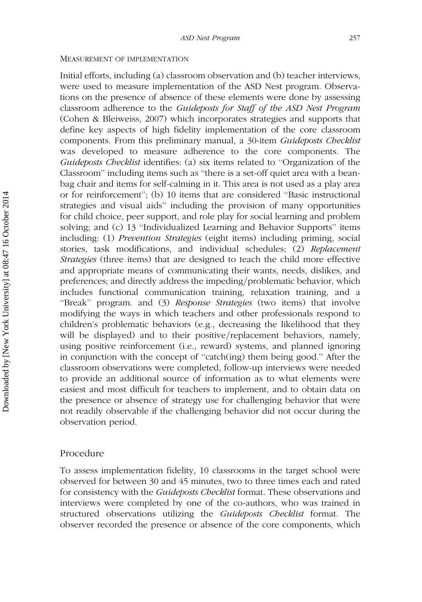#### MEASUREMENT OF IMPLEMENTATION

Initial efforts, including (a) classroom observation and (b) teacher interviews, were used to measure implementation of the ASD Nest program. Observations on the presence of absence of these elements were done by assessing classroom adherence to the Guideposts for Staff of the ASD Nest Program (Cohen & Bleiweiss, 2007) which incorporates strategies and supports that define key aspects of high fidelity implementation of the core classroom components. From this preliminary manual, a 30-item Guideposts Checklist was developed to measure adherence to the core components. The Guideposts Checklist identifies: (a) six items related to "Organization of the Classroom'' including items such as ''there is a set-off quiet area with a beanbag chair and items for self-calming in it. This area is not used as a play area or for reinforcement''; (b) 10 items that are considered ''Basic instructional strategies and visual aids'' including the provision of many opportunities for child choice, peer support, and role play for social learning and problem solving; and (c) 13 ''Individualized Learning and Behavior Supports'' items including: (1) Prevention Strategies (eight items) including priming, social stories, task modifications, and individual schedules; (2) Replacement Strategies (three items) that are designed to teach the child more effective and appropriate means of communicating their wants, needs, dislikes, and preferences; and directly address the impeding/problematic behavior, which includes functional communication training, relaxation training, and a "Break" program. and (3) Response Strategies (two items) that involve modifying the ways in which teachers and other professionals respond to children's problematic behaviors (e.g., decreasing the likelihood that they will be displayed) and to their positive/replacement behaviors, namely, using positive reinforcement (i.e., reward) systems, and planned ignoring in conjunction with the concept of ''catch(ing) them being good.'' After the classroom observations were completed, follow-up interviews were needed to provide an additional source of information as to what elements were easiest and most difficult for teachers to implement, and to obtain data on the presence or absence of strategy use for challenging behavior that were not readily observable if the challenging behavior did not occur during the observation period.

#### Procedure

To assess implementation fidelity, 10 classrooms in the target school were observed for between 30 and 45 minutes, two to three times each and rated for consistency with the *Guideposts Checklist* format. These observations and interviews were completed by one of the co-authors, who was trained in structured observations utilizing the *Guideposts Checklist* format. The observer recorded the presence or absence of the core components, which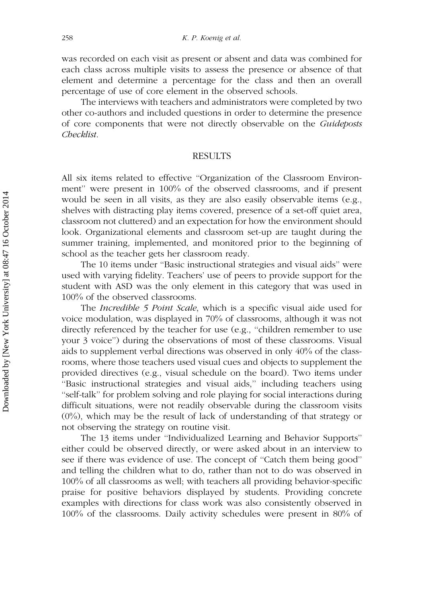was recorded on each visit as present or absent and data was combined for each class across multiple visits to assess the presence or absence of that element and determine a percentage for the class and then an overall percentage of use of core element in the observed schools.

The interviews with teachers and administrators were completed by two other co-authors and included questions in order to determine the presence of core components that were not directly observable on the Guideposts Checklist.

#### RESULTS

All six items related to effective ''Organization of the Classroom Environment'' were present in 100% of the observed classrooms, and if present would be seen in all visits, as they are also easily observable items (e.g., shelves with distracting play items covered, presence of a set-off quiet area, classroom not cluttered) and an expectation for how the environment should look. Organizational elements and classroom set-up are taught during the summer training, implemented, and monitored prior to the beginning of school as the teacher gets her classroom ready.

The 10 items under ''Basic instructional strategies and visual aids'' were used with varying fidelity. Teachers' use of peers to provide support for the student with ASD was the only element in this category that was used in 100% of the observed classrooms.

The Incredible 5 Point Scale, which is a specific visual aide used for voice modulation, was displayed in 70% of classrooms, although it was not directly referenced by the teacher for use (e.g., ''children remember to use your 3 voice'') during the observations of most of these classrooms. Visual aids to supplement verbal directions was observed in only 40% of the classrooms, where those teachers used visual cues and objects to supplement the provided directives (e.g., visual schedule on the board). Two items under ''Basic instructional strategies and visual aids,'' including teachers using ''self-talk'' for problem solving and role playing for social interactions during difficult situations, were not readily observable during the classroom visits (0%), which may be the result of lack of understanding of that strategy or not observing the strategy on routine visit.

The 13 items under ''Individualized Learning and Behavior Supports'' either could be observed directly, or were asked about in an interview to see if there was evidence of use. The concept of ''Catch them being good'' and telling the children what to do, rather than not to do was observed in 100% of all classrooms as well; with teachers all providing behavior-specific praise for positive behaviors displayed by students. Providing concrete examples with directions for class work was also consistently observed in 100% of the classrooms. Daily activity schedules were present in 80% of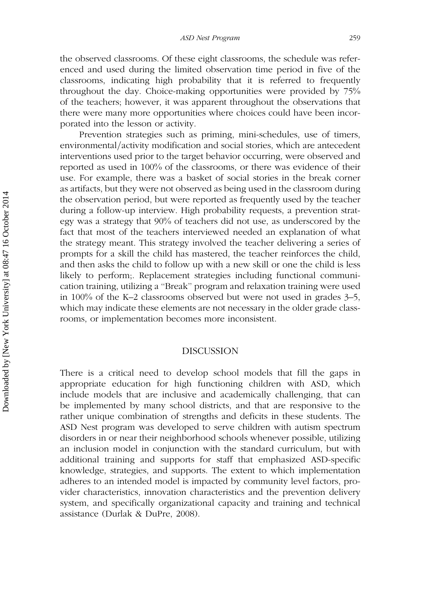the observed classrooms. Of these eight classrooms, the schedule was referenced and used during the limited observation time period in five of the classrooms, indicating high probability that it is referred to frequently throughout the day. Choice-making opportunities were provided by 75% of the teachers; however, it was apparent throughout the observations that there were many more opportunities where choices could have been incorporated into the lesson or activity.

Prevention strategies such as priming, mini-schedules, use of timers, environmental/activity modification and social stories, which are antecedent interventions used prior to the target behavior occurring, were observed and reported as used in 100% of the classrooms, or there was evidence of their use. For example, there was a basket of social stories in the break corner as artifacts, but they were not observed as being used in the classroom during the observation period, but were reported as frequently used by the teacher during a follow-up interview. High probability requests, a prevention strategy was a strategy that 90% of teachers did not use, as underscored by the fact that most of the teachers interviewed needed an explanation of what the strategy meant. This strategy involved the teacher delivering a series of prompts for a skill the child has mastered, the teacher reinforces the child, and then asks the child to follow up with a new skill or one the child is less likely to perform;. Replacement strategies including functional communication training, utilizing a ''Break'' program and relaxation training were used in 100% of the K–2 classrooms observed but were not used in grades 3–5, which may indicate these elements are not necessary in the older grade classrooms, or implementation becomes more inconsistent.

#### DISCUSSION

There is a critical need to develop school models that fill the gaps in appropriate education for high functioning children with ASD, which include models that are inclusive and academically challenging, that can be implemented by many school districts, and that are responsive to the rather unique combination of strengths and deficits in these students. The ASD Nest program was developed to serve children with autism spectrum disorders in or near their neighborhood schools whenever possible, utilizing an inclusion model in conjunction with the standard curriculum, but with additional training and supports for staff that emphasized ASD-specific knowledge, strategies, and supports. The extent to which implementation adheres to an intended model is impacted by community level factors, provider characteristics, innovation characteristics and the prevention delivery system, and specifically organizational capacity and training and technical assistance (Durlak & DuPre, 2008).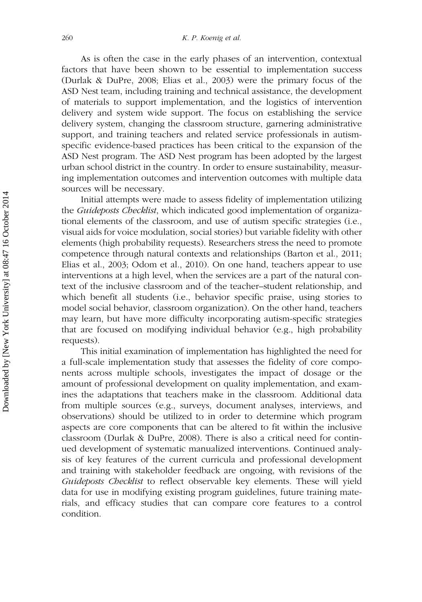As is often the case in the early phases of an intervention, contextual factors that have been shown to be essential to implementation success (Durlak & DuPre, 2008; Elias et al., 2003) were the primary focus of the ASD Nest team, including training and technical assistance, the development of materials to support implementation, and the logistics of intervention delivery and system wide support. The focus on establishing the service delivery system, changing the classroom structure, garnering administrative support, and training teachers and related service professionals in autismspecific evidence-based practices has been critical to the expansion of the ASD Nest program. The ASD Nest program has been adopted by the largest urban school district in the country. In order to ensure sustainability, measuring implementation outcomes and intervention outcomes with multiple data sources will be necessary.

Initial attempts were made to assess fidelity of implementation utilizing the Guideposts Checklist, which indicated good implementation of organizational elements of the classroom, and use of autism specific strategies (i.e., visual aids for voice modulation, social stories) but variable fidelity with other elements (high probability requests). Researchers stress the need to promote competence through natural contexts and relationships (Barton et al., 2011; Elias et al., 2003; Odom et al., 2010). On one hand, teachers appear to use interventions at a high level, when the services are a part of the natural context of the inclusive classroom and of the teacher–student relationship, and which benefit all students (i.e., behavior specific praise, using stories to model social behavior, classroom organization). On the other hand, teachers may learn, but have more difficulty incorporating autism-specific strategies that are focused on modifying individual behavior (e.g., high probability requests).

This initial examination of implementation has highlighted the need for a full-scale implementation study that assesses the fidelity of core components across multiple schools, investigates the impact of dosage or the amount of professional development on quality implementation, and examines the adaptations that teachers make in the classroom. Additional data from multiple sources (e.g., surveys, document analyses, interviews, and observations) should be utilized to in order to determine which program aspects are core components that can be altered to fit within the inclusive classroom (Durlak & DuPre, 2008). There is also a critical need for continued development of systematic manualized interventions. Continued analysis of key features of the current curricula and professional development and training with stakeholder feedback are ongoing, with revisions of the Guideposts Checklist to reflect observable key elements. These will yield data for use in modifying existing program guidelines, future training materials, and efficacy studies that can compare core features to a control condition.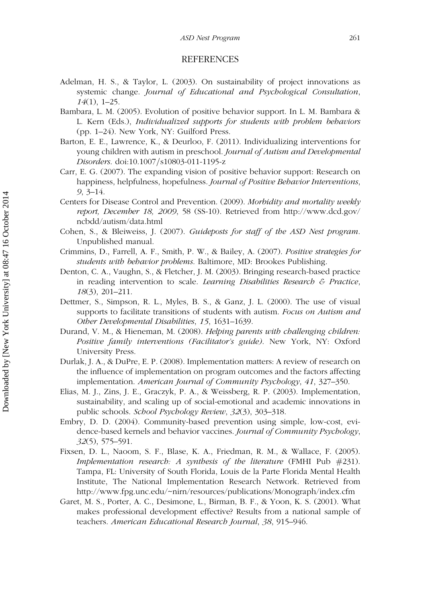#### REFERENCES

- Adelman, H. S., & Taylor, L. (2003). On sustainability of project innovations as systemic change. Journal of Educational and Psychological Consultation, 14(1), 1–25.
- Bambara, L. M. (2005). Evolution of positive behavior support. In L. M. Bambara & L. Kern (Eds.), Individualized supports for students with problem behaviors (pp. 1–24). New York, NY: Guilford Press.
- Barton, E. E., Lawrence, K., & Deurloo, F. (2011). Individualizing interventions for young children with autism in preschool. Journal of Autism and Developmental Disorders. doi:10.1007/s10803-011-1195-z
- Carr, E. G. (2007). The expanding vision of positive behavior support: Research on happiness, helpfulness, hopefulness. Journal of Positive Behavior Interventions, 9, 3–14.
- Centers for Disease Control and Prevention. (2009). Morbidity and mortality weekly report, December 18, 2009, 58 (SS-10). Retrieved from http://www.dcd.gov/ ncbdd/autism/data.html
- Cohen, S., & Bleiweiss, J. (2007). Guideposts for staff of the ASD Nest program. Unpublished manual.
- Crimmins, D., Farrell, A. F., Smith, P. W., & Bailey, A. (2007). Positive strategies for students with behavior problems. Baltimore, MD: Brookes Publishing.
- Denton, C. A., Vaughn, S., & Fletcher, J. M. (2003). Bringing research-based practice in reading intervention to scale. Learning Disabilities Research  $\epsilon$  Practice, 18(3), 201–211.
- Dettmer, S., Simpson, R. L., Myles, B. S., & Ganz, J. L. (2000). The use of visual supports to facilitate transitions of students with autism. Focus on Autism and Other Developmental Disabilities, 15, 1631–1639.
- Durand, V. M., & Hieneman, M. (2008). Helping parents with challenging children: Positive family interventions (Facilitator's guide). New York, NY: Oxford University Press.
- Durlak, J. A., & DuPre, E. P. (2008). Implementation matters: A review of research on the influence of implementation on program outcomes and the factors affecting implementation. American Journal of Community Psychology, 41, 327–350.
- Elias, M. J., Zins, J. E., Graczyk, P. A., & Weissberg, R. P. (2003). Implementation, sustainability, and scaling up of social-emotional and academic innovations in public schools. School Psychology Review, 32(3), 303–318.
- Embry, D. D. (2004). Community-based prevention using simple, low-cost, evidence-based kernels and behavior vaccines. Journal of Community Psychology, 32(5), 575–591.
- Fixsen, D. L., Naoom, S. F., Blase, K. A., Friedman, R. M., & Wallace, F. (2005). Implementation research: A synthesis of the literature (FMHI Pub  $#231$ ). Tampa, FL: University of South Florida, Louis de la Parte Florida Mental Health Institute, The National Implementation Research Network. Retrieved from http://www.fpg.unc.edu/~nirn/resources/publications/Monograph/index.cfm
- Garet, M. S., Porter, A. C., Desimone, L., Birman, B. F., & Yoon, K. S. (2001). What makes professional development effective? Results from a national sample of teachers. American Educational Research Journal, 38, 915–946.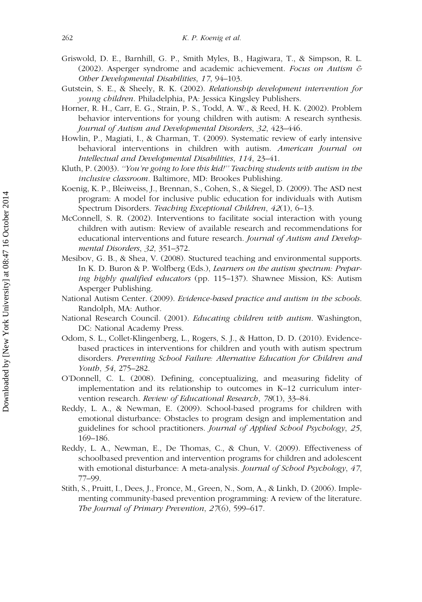- Griswold, D. E., Barnhill, G. P., Smith Myles, B., Hagiwara, T., & Simpson, R. L. (2002). Asperger syndrome and academic achievement. Focus on Autism & Other Developmental Disabilities, 17, 94–103.
- Gutstein, S. E., & Sheely, R. K. (2002). Relationship development intervention for young children. Philadelphia, PA: Jessica Kingsley Publishers.
- Horner, R. H., Carr, E. G., Strain, P. S., Todd, A. W., & Reed, H. K. (2002). Problem behavior interventions for young children with autism: A research synthesis. Journal of Autism and Developmental Disorders, 32, 423–446.
- Howlin, P., Magiati, I., & Charman, T. (2009). Systematic review of early intensive behavioral interventions in children with autism. American Journal on Intellectual and Developmental Disabilities, 114, 23–41.
- Kluth, P. (2003). "You're going to love this kid!" Teaching students with autism in the inclusive classroom. Baltimore, MD: Brookes Publishing.
- Koenig, K. P., Bleiweiss, J., Brennan, S., Cohen, S., & Siegel, D. (2009). The ASD nest program: A model for inclusive public education for individuals with Autism Spectrum Disorders. Teaching Exceptional Children, 42(1), 6–13.
- McConnell, S. R. (2002). Interventions to facilitate social interaction with young children with autism: Review of available research and recommendations for educational interventions and future research. Journal of Autism and Developmental Disorders, 32, 351–372.
- Mesibov, G. B., & Shea, V. (2008). Stuctured teaching and environmental supports. In K. D. Buron & P. Wolfberg (Eds.), *Learners on the autism spectrum: Prepar*ing highly qualified educators (pp. 115-137). Shawnee Mission, KS: Autism Asperger Publishing.
- National Autism Center. (2009). Evidence-based practice and autism in the schools. Randolph, MA: Author.
- National Research Council. (2001). *Educating children with autism*. Washington, DC: National Academy Press.
- Odom, S. L., Collet-Klingenberg, L., Rogers, S. J., & Hatton, D. D. (2010). Evidencebased practices in interventions for children and youth with autism spectrum disorders. Preventing School Failure: Alternative Education for Children and Youth, 54, 275–282.
- O'Donnell, C. L. (2008). Defining, conceptualizing, and measuring fidelity of implementation and its relationship to outcomes in K–12 curriculum intervention research. Review of Educational Research, 78(1), 33–84.
- Reddy, L. A., & Newman, E. (2009). School-based programs for children with emotional disturbance: Obstacles to program design and implementation and guidelines for school practitioners. Journal of Applied School Psychology, 25, 169–186.
- Reddy, L. A., Newman, E., De Thomas, C., & Chun, V. (2009). Effectiveness of schoolbased prevention and intervention programs for children and adolescent with emotional disturbance: A meta-analysis. Journal of School Psychology, 47, 77–99.
- Stith, S., Pruitt, I., Dees, J., Fronce, M., Green, N., Som, A., & Linkh, D. (2006). Implementing community-based prevention programming: A review of the literature. The Journal of Primary Prevention, 27(6), 599–617.